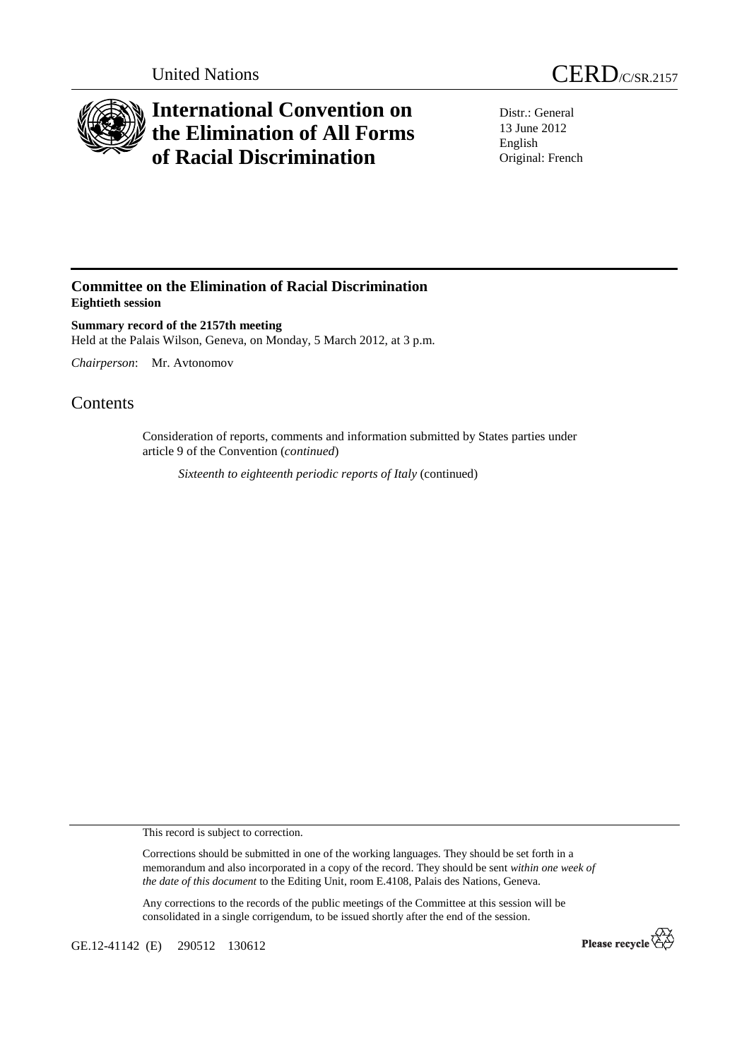

## **International Convention on the Elimination of All Forms of Racial Discrimination**

Distr.: General 13 June 2012 English Original: French

## **Committee on the Elimination of Racial Discrimination Eightieth session**

**Summary record of the 2157th meeting**  Held at the Palais Wilson, Geneva, on Monday, 5 March 2012, at 3 p.m.

*Chairperson*: Mr. Avtonomov

## **Contents**

Consideration of reports, comments and information submitted by States parties under article 9 of the Convention (*continued*)

*Sixteenth to eighteenth periodic reports of Italy* (continued)

This record is subject to correction.

Corrections should be submitted in one of the working languages. They should be set forth in a memorandum and also incorporated in a copy of the record. They should be sent *within one week of the date of this document* to the Editing Unit, room E.4108, Palais des Nations, Geneva.

Any corrections to the records of the public meetings of the Committee at this session will be consolidated in a single corrigendum, to be issued shortly after the end of the session.

GE.12-41142 (E) 290512 130612

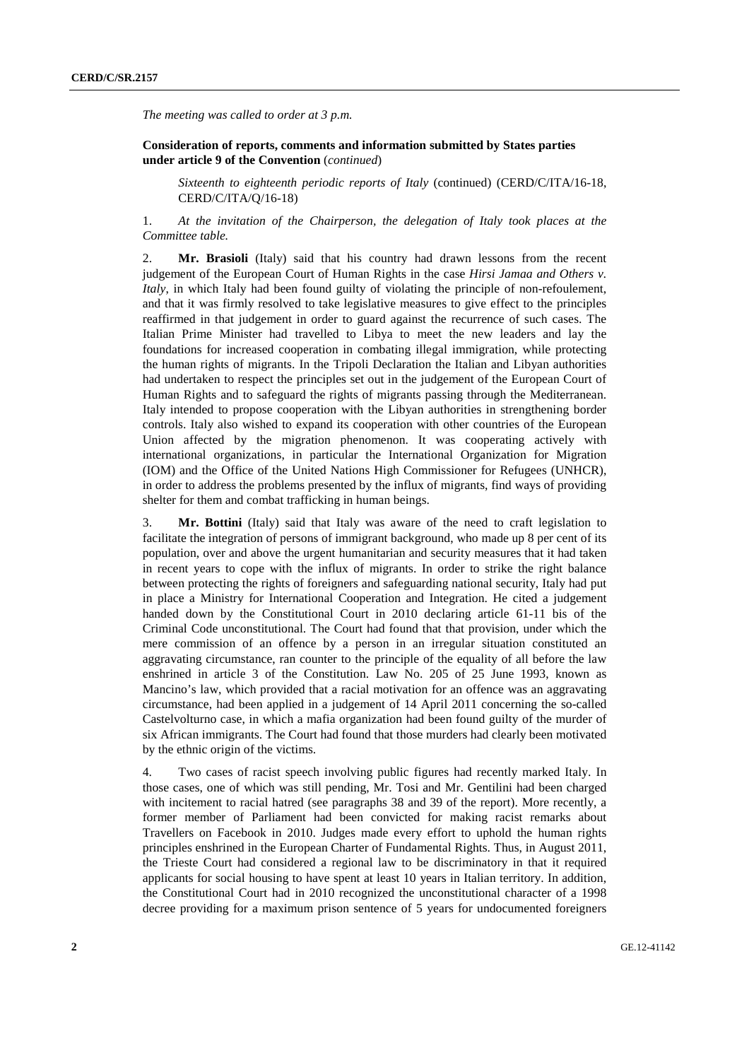*The meeting was called to order at 3 p.m.* 

 **Consideration of reports, comments and information submitted by States parties under article 9 of the Convention** (*continued*)

*Sixteenth to eighteenth periodic reports of Italy* (continued) (CERD/C/ITA/16-18, CERD/C/ITA/Q/16-18)

1. *At the invitation of the Chairperson, the delegation of Italy took places at the Committee table.*

2. **Mr. Brasioli** (Italy) said that his country had drawn lessons from the recent judgement of the European Court of Human Rights in the case *Hirsi Jamaa and Others v. Italy*, in which Italy had been found guilty of violating the principle of non-refoulement, and that it was firmly resolved to take legislative measures to give effect to the principles reaffirmed in that judgement in order to guard against the recurrence of such cases. The Italian Prime Minister had travelled to Libya to meet the new leaders and lay the foundations for increased cooperation in combating illegal immigration, while protecting the human rights of migrants. In the Tripoli Declaration the Italian and Libyan authorities had undertaken to respect the principles set out in the judgement of the European Court of Human Rights and to safeguard the rights of migrants passing through the Mediterranean. Italy intended to propose cooperation with the Libyan authorities in strengthening border controls. Italy also wished to expand its cooperation with other countries of the European Union affected by the migration phenomenon. It was cooperating actively with international organizations, in particular the International Organization for Migration (IOM) and the Office of the United Nations High Commissioner for Refugees (UNHCR), in order to address the problems presented by the influx of migrants, find ways of providing shelter for them and combat trafficking in human beings.

3. **Mr. Bottini** (Italy) said that Italy was aware of the need to craft legislation to facilitate the integration of persons of immigrant background, who made up 8 per cent of its population, over and above the urgent humanitarian and security measures that it had taken in recent years to cope with the influx of migrants. In order to strike the right balance between protecting the rights of foreigners and safeguarding national security, Italy had put in place a Ministry for International Cooperation and Integration. He cited a judgement handed down by the Constitutional Court in 2010 declaring article 61-11 bis of the Criminal Code unconstitutional. The Court had found that that provision, under which the mere commission of an offence by a person in an irregular situation constituted an aggravating circumstance, ran counter to the principle of the equality of all before the law enshrined in article 3 of the Constitution. Law No. 205 of 25 June 1993, known as Mancino's law, which provided that a racial motivation for an offence was an aggravating circumstance, had been applied in a judgement of 14 April 2011 concerning the so-called Castelvolturno case, in which a mafia organization had been found guilty of the murder of six African immigrants. The Court had found that those murders had clearly been motivated by the ethnic origin of the victims.

4. Two cases of racist speech involving public figures had recently marked Italy. In those cases, one of which was still pending, Mr. Tosi and Mr. Gentilini had been charged with incitement to racial hatred (see paragraphs 38 and 39 of the report). More recently, a former member of Parliament had been convicted for making racist remarks about Travellers on Facebook in 2010. Judges made every effort to uphold the human rights principles enshrined in the European Charter of Fundamental Rights. Thus, in August 2011, the Trieste Court had considered a regional law to be discriminatory in that it required applicants for social housing to have spent at least 10 years in Italian territory. In addition, the Constitutional Court had in 2010 recognized the unconstitutional character of a 1998 decree providing for a maximum prison sentence of 5 years for undocumented foreigners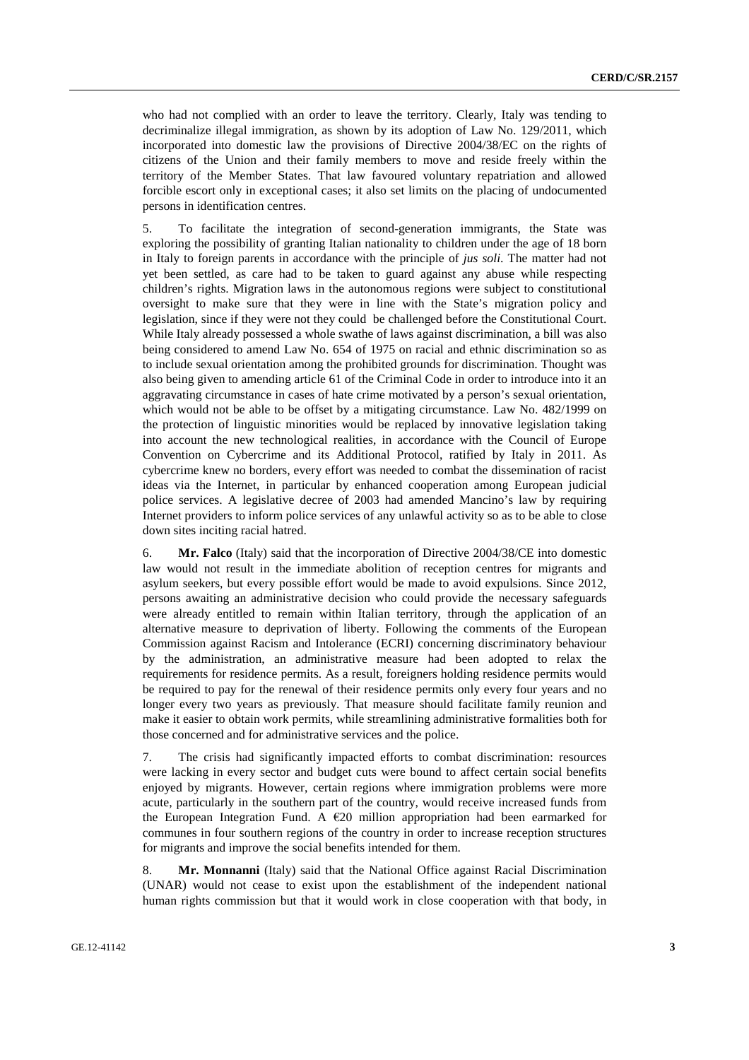who had not complied with an order to leave the territory. Clearly, Italy was tending to decriminalize illegal immigration, as shown by its adoption of Law No. 129/2011, which incorporated into domestic law the provisions of Directive 2004/38/EC on the rights of citizens of the Union and their family members to move and reside freely within the territory of the Member States. That law favoured voluntary repatriation and allowed forcible escort only in exceptional cases; it also set limits on the placing of undocumented persons in identification centres.

5. To facilitate the integration of second-generation immigrants, the State was exploring the possibility of granting Italian nationality to children under the age of 18 born in Italy to foreign parents in accordance with the principle of *jus soli*. The matter had not yet been settled, as care had to be taken to guard against any abuse while respecting children's rights. Migration laws in the autonomous regions were subject to constitutional oversight to make sure that they were in line with the State's migration policy and legislation, since if they were not they could be challenged before the Constitutional Court. While Italy already possessed a whole swathe of laws against discrimination, a bill was also being considered to amend Law No. 654 of 1975 on racial and ethnic discrimination so as to include sexual orientation among the prohibited grounds for discrimination. Thought was also being given to amending article 61 of the Criminal Code in order to introduce into it an aggravating circumstance in cases of hate crime motivated by a person's sexual orientation, which would not be able to be offset by a mitigating circumstance. Law No. 482/1999 on the protection of linguistic minorities would be replaced by innovative legislation taking into account the new technological realities, in accordance with the Council of Europe Convention on Cybercrime and its Additional Protocol, ratified by Italy in 2011. As cybercrime knew no borders, every effort was needed to combat the dissemination of racist ideas via the Internet, in particular by enhanced cooperation among European judicial police services. A legislative decree of 2003 had amended Mancino's law by requiring Internet providers to inform police services of any unlawful activity so as to be able to close down sites inciting racial hatred.

6. **Mr. Falco** (Italy) said that the incorporation of Directive 2004/38/CE into domestic law would not result in the immediate abolition of reception centres for migrants and asylum seekers, but every possible effort would be made to avoid expulsions. Since 2012, persons awaiting an administrative decision who could provide the necessary safeguards were already entitled to remain within Italian territory, through the application of an alternative measure to deprivation of liberty. Following the comments of the European Commission against Racism and Intolerance (ECRI) concerning discriminatory behaviour by the administration, an administrative measure had been adopted to relax the requirements for residence permits. As a result, foreigners holding residence permits would be required to pay for the renewal of their residence permits only every four years and no longer every two years as previously. That measure should facilitate family reunion and make it easier to obtain work permits, while streamlining administrative formalities both for those concerned and for administrative services and the police.

7. The crisis had significantly impacted efforts to combat discrimination: resources were lacking in every sector and budget cuts were bound to affect certain social benefits enjoyed by migrants. However, certain regions where immigration problems were more acute, particularly in the southern part of the country, would receive increased funds from the European Integration Fund. A €20 million appropriation had been earmarked for communes in four southern regions of the country in order to increase reception structures for migrants and improve the social benefits intended for them.

8. **Mr. Monnanni** (Italy) said that the National Office against Racial Discrimination (UNAR) would not cease to exist upon the establishment of the independent national human rights commission but that it would work in close cooperation with that body, in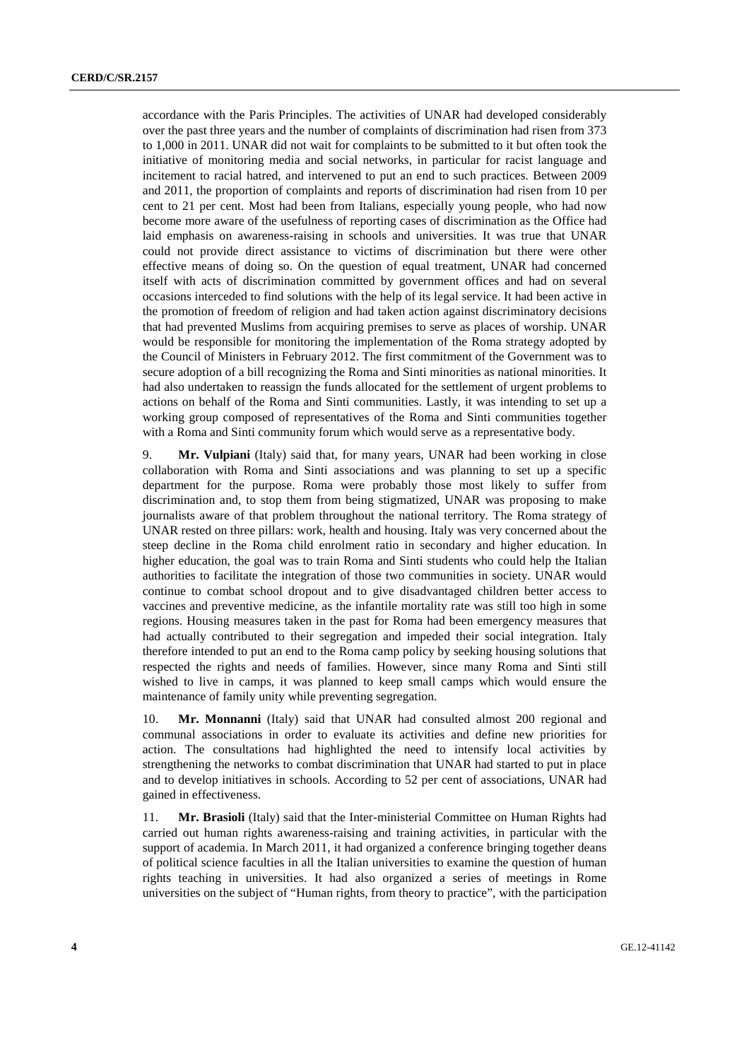accordance with the Paris Principles. The activities of UNAR had developed considerably over the past three years and the number of complaints of discrimination had risen from 373 to 1,000 in 2011. UNAR did not wait for complaints to be submitted to it but often took the initiative of monitoring media and social networks, in particular for racist language and incitement to racial hatred, and intervened to put an end to such practices. Between 2009 and 2011, the proportion of complaints and reports of discrimination had risen from 10 per cent to 21 per cent. Most had been from Italians, especially young people, who had now become more aware of the usefulness of reporting cases of discrimination as the Office had laid emphasis on awareness-raising in schools and universities. It was true that UNAR could not provide direct assistance to victims of discrimination but there were other effective means of doing so. On the question of equal treatment, UNAR had concerned itself with acts of discrimination committed by government offices and had on several occasions interceded to find solutions with the help of its legal service. It had been active in the promotion of freedom of religion and had taken action against discriminatory decisions that had prevented Muslims from acquiring premises to serve as places of worship. UNAR would be responsible for monitoring the implementation of the Roma strategy adopted by the Council of Ministers in February 2012. The first commitment of the Government was to secure adoption of a bill recognizing the Roma and Sinti minorities as national minorities. It had also undertaken to reassign the funds allocated for the settlement of urgent problems to actions on behalf of the Roma and Sinti communities. Lastly, it was intending to set up a working group composed of representatives of the Roma and Sinti communities together with a Roma and Sinti community forum which would serve as a representative body.

9. **Mr. Vulpiani** (Italy) said that, for many years, UNAR had been working in close collaboration with Roma and Sinti associations and was planning to set up a specific department for the purpose. Roma were probably those most likely to suffer from discrimination and, to stop them from being stigmatized, UNAR was proposing to make journalists aware of that problem throughout the national territory. The Roma strategy of UNAR rested on three pillars: work, health and housing. Italy was very concerned about the steep decline in the Roma child enrolment ratio in secondary and higher education. In higher education, the goal was to train Roma and Sinti students who could help the Italian authorities to facilitate the integration of those two communities in society. UNAR would continue to combat school dropout and to give disadvantaged children better access to vaccines and preventive medicine, as the infantile mortality rate was still too high in some regions. Housing measures taken in the past for Roma had been emergency measures that had actually contributed to their segregation and impeded their social integration. Italy therefore intended to put an end to the Roma camp policy by seeking housing solutions that respected the rights and needs of families. However, since many Roma and Sinti still wished to live in camps, it was planned to keep small camps which would ensure the maintenance of family unity while preventing segregation.

10. **Mr. Monnanni** (Italy) said that UNAR had consulted almost 200 regional and communal associations in order to evaluate its activities and define new priorities for action. The consultations had highlighted the need to intensify local activities by strengthening the networks to combat discrimination that UNAR had started to put in place and to develop initiatives in schools. According to 52 per cent of associations, UNAR had gained in effectiveness.

11. **Mr. Brasioli** (Italy) said that the Inter-ministerial Committee on Human Rights had carried out human rights awareness-raising and training activities, in particular with the support of academia. In March 2011, it had organized a conference bringing together deans of political science faculties in all the Italian universities to examine the question of human rights teaching in universities. It had also organized a series of meetings in Rome universities on the subject of "Human rights, from theory to practice", with the participation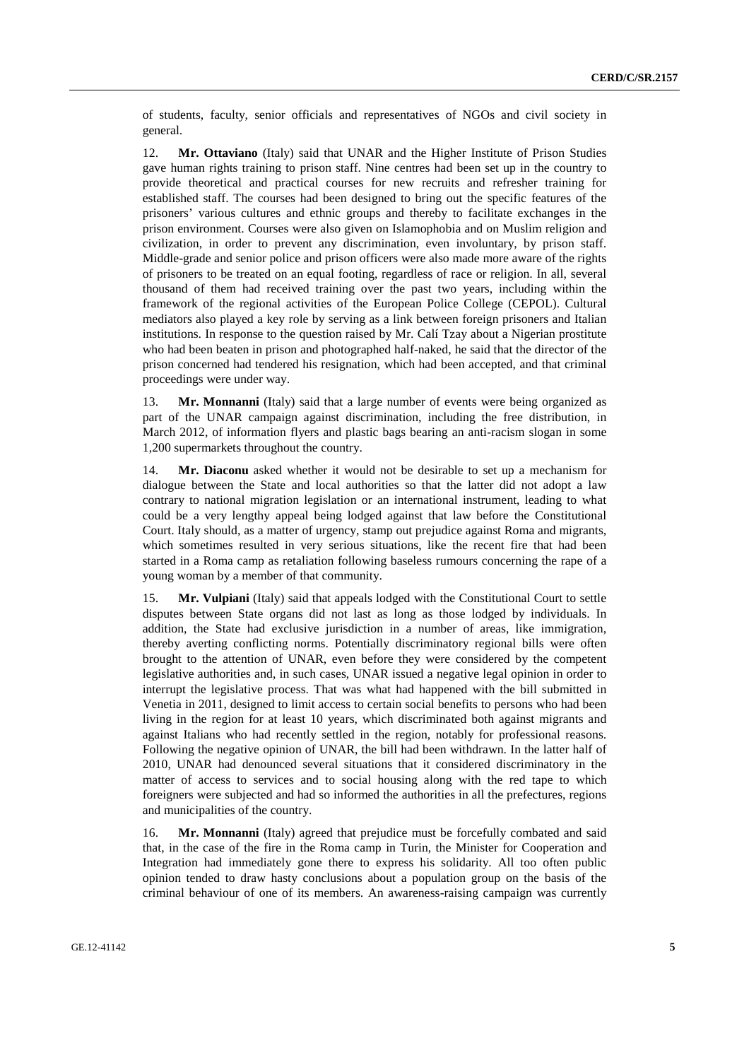of students, faculty, senior officials and representatives of NGOs and civil society in general.

12. **Mr. Ottaviano** (Italy) said that UNAR and the Higher Institute of Prison Studies gave human rights training to prison staff. Nine centres had been set up in the country to provide theoretical and practical courses for new recruits and refresher training for established staff. The courses had been designed to bring out the specific features of the prisoners' various cultures and ethnic groups and thereby to facilitate exchanges in the prison environment. Courses were also given on Islamophobia and on Muslim religion and civilization, in order to prevent any discrimination, even involuntary, by prison staff. Middle-grade and senior police and prison officers were also made more aware of the rights of prisoners to be treated on an equal footing, regardless of race or religion. In all, several thousand of them had received training over the past two years, including within the framework of the regional activities of the European Police College (CEPOL). Cultural mediators also played a key role by serving as a link between foreign prisoners and Italian institutions. In response to the question raised by Mr. Calí Tzay about a Nigerian prostitute who had been beaten in prison and photographed half-naked, he said that the director of the prison concerned had tendered his resignation, which had been accepted, and that criminal proceedings were under way.

13. **Mr. Monnanni** (Italy) said that a large number of events were being organized as part of the UNAR campaign against discrimination, including the free distribution, in March 2012, of information flyers and plastic bags bearing an anti-racism slogan in some 1,200 supermarkets throughout the country.

14. **Mr. Diaconu** asked whether it would not be desirable to set up a mechanism for dialogue between the State and local authorities so that the latter did not adopt a law contrary to national migration legislation or an international instrument, leading to what could be a very lengthy appeal being lodged against that law before the Constitutional Court. Italy should, as a matter of urgency, stamp out prejudice against Roma and migrants, which sometimes resulted in very serious situations, like the recent fire that had been started in a Roma camp as retaliation following baseless rumours concerning the rape of a young woman by a member of that community.

15. **Mr. Vulpiani** (Italy) said that appeals lodged with the Constitutional Court to settle disputes between State organs did not last as long as those lodged by individuals. In addition, the State had exclusive jurisdiction in a number of areas, like immigration, thereby averting conflicting norms. Potentially discriminatory regional bills were often brought to the attention of UNAR, even before they were considered by the competent legislative authorities and, in such cases, UNAR issued a negative legal opinion in order to interrupt the legislative process. That was what had happened with the bill submitted in Venetia in 2011, designed to limit access to certain social benefits to persons who had been living in the region for at least 10 years, which discriminated both against migrants and against Italians who had recently settled in the region, notably for professional reasons. Following the negative opinion of UNAR, the bill had been withdrawn. In the latter half of 2010, UNAR had denounced several situations that it considered discriminatory in the matter of access to services and to social housing along with the red tape to which foreigners were subjected and had so informed the authorities in all the prefectures, regions and municipalities of the country.

16. **Mr. Monnanni** (Italy) agreed that prejudice must be forcefully combated and said that, in the case of the fire in the Roma camp in Turin, the Minister for Cooperation and Integration had immediately gone there to express his solidarity. All too often public opinion tended to draw hasty conclusions about a population group on the basis of the criminal behaviour of one of its members. An awareness-raising campaign was currently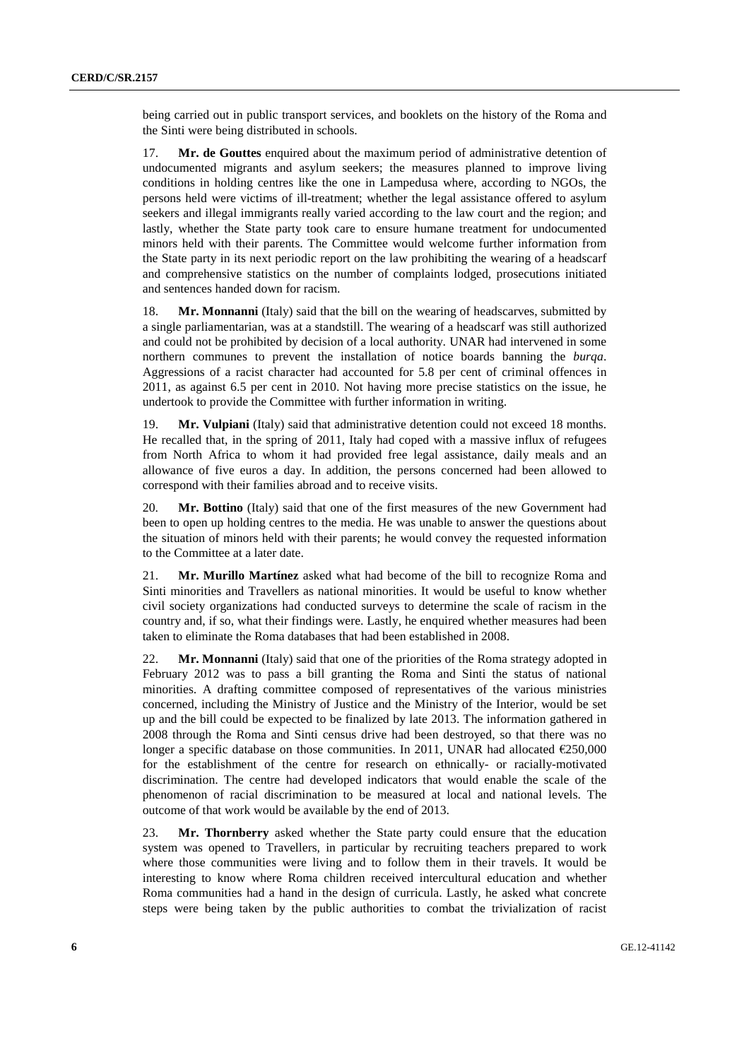being carried out in public transport services, and booklets on the history of the Roma and the Sinti were being distributed in schools.

17. **Mr. de Gouttes** enquired about the maximum period of administrative detention of undocumented migrants and asylum seekers; the measures planned to improve living conditions in holding centres like the one in Lampedusa where, according to NGOs, the persons held were victims of ill-treatment; whether the legal assistance offered to asylum seekers and illegal immigrants really varied according to the law court and the region; and lastly, whether the State party took care to ensure humane treatment for undocumented minors held with their parents. The Committee would welcome further information from the State party in its next periodic report on the law prohibiting the wearing of a headscarf and comprehensive statistics on the number of complaints lodged, prosecutions initiated and sentences handed down for racism.

18. **Mr. Monnanni** (Italy) said that the bill on the wearing of headscarves, submitted by a single parliamentarian, was at a standstill. The wearing of a headscarf was still authorized and could not be prohibited by decision of a local authority. UNAR had intervened in some northern communes to prevent the installation of notice boards banning the *burqa*. Aggressions of a racist character had accounted for 5.8 per cent of criminal offences in 2011, as against 6.5 per cent in 2010. Not having more precise statistics on the issue, he undertook to provide the Committee with further information in writing.

19. **Mr. Vulpiani** (Italy) said that administrative detention could not exceed 18 months. He recalled that, in the spring of 2011, Italy had coped with a massive influx of refugees from North Africa to whom it had provided free legal assistance, daily meals and an allowance of five euros a day. In addition, the persons concerned had been allowed to correspond with their families abroad and to receive visits.

20. **Mr. Bottino** (Italy) said that one of the first measures of the new Government had been to open up holding centres to the media. He was unable to answer the questions about the situation of minors held with their parents; he would convey the requested information to the Committee at a later date.

21. **Mr. Murillo Martínez** asked what had become of the bill to recognize Roma and Sinti minorities and Travellers as national minorities. It would be useful to know whether civil society organizations had conducted surveys to determine the scale of racism in the country and, if so, what their findings were. Lastly, he enquired whether measures had been taken to eliminate the Roma databases that had been established in 2008.

22. **Mr. Monnanni** (Italy) said that one of the priorities of the Roma strategy adopted in February 2012 was to pass a bill granting the Roma and Sinti the status of national minorities. A drafting committee composed of representatives of the various ministries concerned, including the Ministry of Justice and the Ministry of the Interior, would be set up and the bill could be expected to be finalized by late 2013. The information gathered in 2008 through the Roma and Sinti census drive had been destroyed, so that there was no longer a specific database on those communities. In 2011, UNAR had allocated €250,000 for the establishment of the centre for research on ethnically- or racially-motivated discrimination. The centre had developed indicators that would enable the scale of the phenomenon of racial discrimination to be measured at local and national levels. The outcome of that work would be available by the end of 2013.

23. **Mr. Thornberry** asked whether the State party could ensure that the education system was opened to Travellers, in particular by recruiting teachers prepared to work where those communities were living and to follow them in their travels. It would be interesting to know where Roma children received intercultural education and whether Roma communities had a hand in the design of curricula. Lastly, he asked what concrete steps were being taken by the public authorities to combat the trivialization of racist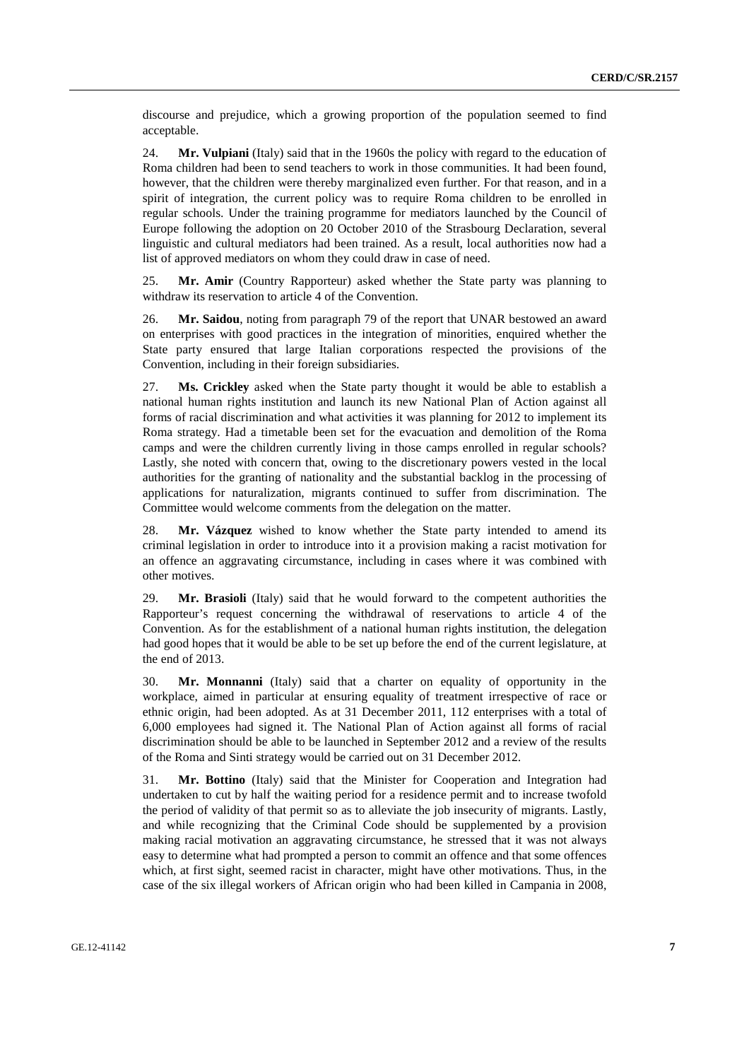discourse and prejudice, which a growing proportion of the population seemed to find acceptable.

24. **Mr. Vulpiani** (Italy) said that in the 1960s the policy with regard to the education of Roma children had been to send teachers to work in those communities. It had been found, however, that the children were thereby marginalized even further. For that reason, and in a spirit of integration, the current policy was to require Roma children to be enrolled in regular schools. Under the training programme for mediators launched by the Council of Europe following the adoption on 20 October 2010 of the Strasbourg Declaration, several linguistic and cultural mediators had been trained. As a result, local authorities now had a list of approved mediators on whom they could draw in case of need.

25. **Mr. Amir** (Country Rapporteur) asked whether the State party was planning to withdraw its reservation to article 4 of the Convention.

26. **Mr. Saidou**, noting from paragraph 79 of the report that UNAR bestowed an award on enterprises with good practices in the integration of minorities, enquired whether the State party ensured that large Italian corporations respected the provisions of the Convention, including in their foreign subsidiaries.

27. **Ms. Crickley** asked when the State party thought it would be able to establish a national human rights institution and launch its new National Plan of Action against all forms of racial discrimination and what activities it was planning for 2012 to implement its Roma strategy. Had a timetable been set for the evacuation and demolition of the Roma camps and were the children currently living in those camps enrolled in regular schools? Lastly, she noted with concern that, owing to the discretionary powers vested in the local authorities for the granting of nationality and the substantial backlog in the processing of applications for naturalization, migrants continued to suffer from discrimination. The Committee would welcome comments from the delegation on the matter.

28. **Mr. Vázquez** wished to know whether the State party intended to amend its criminal legislation in order to introduce into it a provision making a racist motivation for an offence an aggravating circumstance, including in cases where it was combined with other motives.

29. **Mr. Brasioli** (Italy) said that he would forward to the competent authorities the Rapporteur's request concerning the withdrawal of reservations to article 4 of the Convention. As for the establishment of a national human rights institution, the delegation had good hopes that it would be able to be set up before the end of the current legislature, at the end of 2013.

30. **Mr. Monnanni** (Italy) said that a charter on equality of opportunity in the workplace, aimed in particular at ensuring equality of treatment irrespective of race or ethnic origin, had been adopted. As at 31 December 2011, 112 enterprises with a total of 6,000 employees had signed it. The National Plan of Action against all forms of racial discrimination should be able to be launched in September 2012 and a review of the results of the Roma and Sinti strategy would be carried out on 31 December 2012.

31. **Mr. Bottino** (Italy) said that the Minister for Cooperation and Integration had undertaken to cut by half the waiting period for a residence permit and to increase twofold the period of validity of that permit so as to alleviate the job insecurity of migrants. Lastly, and while recognizing that the Criminal Code should be supplemented by a provision making racial motivation an aggravating circumstance, he stressed that it was not always easy to determine what had prompted a person to commit an offence and that some offences which, at first sight, seemed racist in character, might have other motivations. Thus, in the case of the six illegal workers of African origin who had been killed in Campania in 2008,